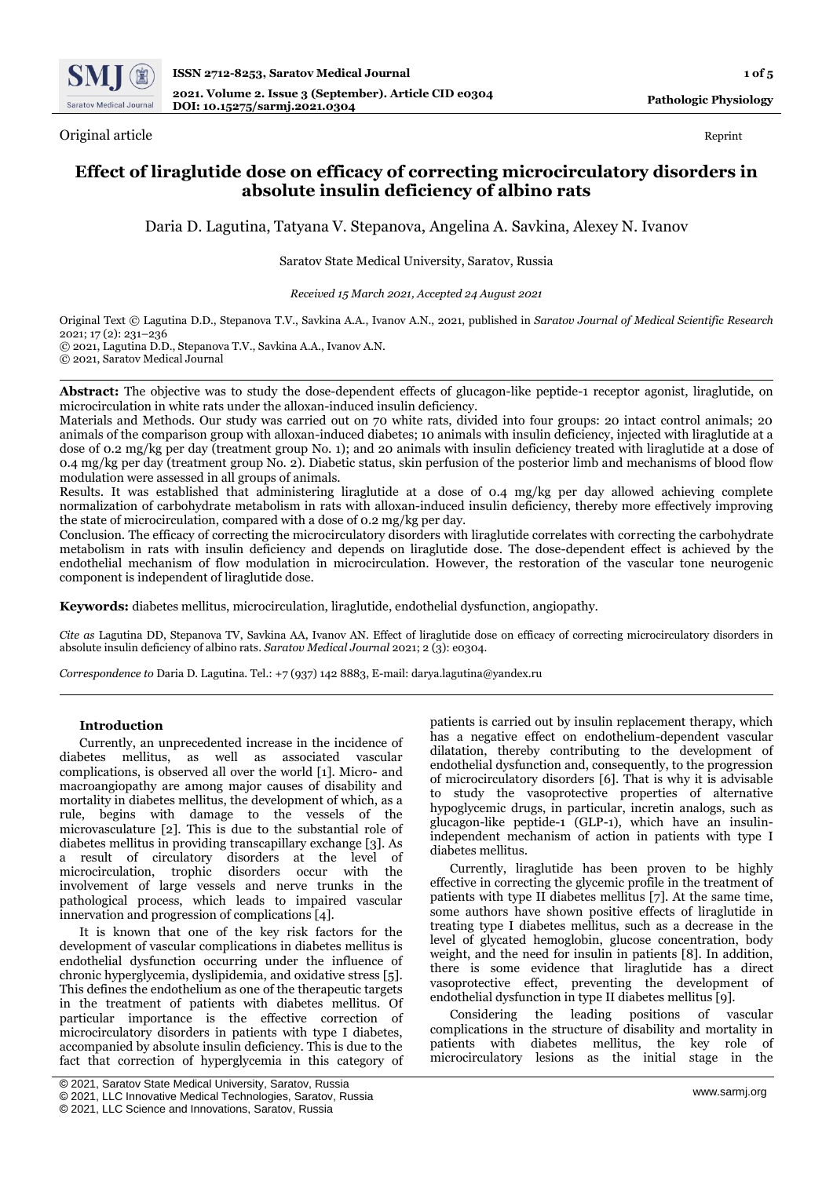

Original article Reprint

# **Effect of liraglutide dose on efficacy of correcting microcirculatory disorders in absolute insulin deficiency of albino rats**

Daria D. Lagutina, Tatyana V. Stepanova, Angelina A. Savkina, Alexey N. Ivanov

### Saratov State Medical University, Saratov, Russia

*Received 15 March 2021, Accepted 24 August 2021*

Original Text © Lagutina D.D., Stepanova T.V., Savkina A.A., Ivanov A.N., 2021, published in *Saratov Journal of Medical Scientific Research* 2021; 17 (2): 231–236 © 2021, Lagutina D.D., Stepanova T.V., Savkina A.A., Ivanov A.N. © 2021, Saratov Medical Journal

**Abstract:** The objective was to study the dose-dependent effects of glucagon-like peptide-1 receptor agonist, liraglutide, on microcirculation in white rats under the alloxan-induced insulin deficiency.

Materials and Methods. Our study was carried out on 70 white rats, divided into four groups: 20 intact control animals; 20 animals of the comparison group with alloxan-induced diabetes; 10 animals with insulin deficiency, injected with liraglutide at a dose of 0.2 mg/kg per day (treatment group No. 1); and 20 animals with insulin deficiency treated with liraglutide at a dose of 0.4 mg/kg per day (treatment group No. 2). Diabetic status, skin perfusion of the posterior limb and mechanisms of blood flow modulation were assessed in all groups of animals.

Results. It was established that administering liraglutide at a dose of 0.4 mg/kg per day allowed achieving complete normalization of carbohydrate metabolism in rats with alloxan-induced insulin deficiency, thereby more effectively improving the state of microcirculation, compared with a dose of 0.2 mg/kg per day.

Conclusion. The efficacy of correcting the microcirculatory disorders with liraglutide correlates with correcting the carbohydrate metabolism in rats with insulin deficiency and depends on liraglutide dose. The dose-dependent effect is achieved by the endothelial mechanism of flow modulation in microcirculation. However, the restoration of the vascular tone neurogenic component is independent of liraglutide dose.

**Keywords:** diabetes mellitus, microcirculation, liraglutide, endothelial dysfunction, angiopathy.

*Cite as* Lagutina DD, Stepanova TV, Savkina AA, Ivanov AN. Effect of liraglutide dose on efficacy of correcting microcirculatory disorders in absolute insulin deficiency of albino rats. *Saratov Medical Journal* 2021; 2 (3): e0304.

*Correspondence to* Daria D. Lagutina. Tel.: +7 (937) 142 8883, E-mail: darya.lagutina@yandex.ru

### **Introduction**

Currently, an unprecedented increase in the incidence of diabetes mellitus, as well as associated vascular complications, is observed all over the world [1]. Micro- and macroangiopathy are among major causes of disability and mortality in diabetes mellitus, the development of which, as a rule, begins with damage to the vessels of the microvasculature [2]. This is due to the substantial role of diabetes mellitus in providing transcapillary exchange [3]. As a result of circulatory disorders at the level of microcirculation, trophic disorders occur with the involvement of large vessels and nerve trunks in the pathological process, which leads to impaired vascular innervation and progression of complications [4].

It is known that one of the key risk factors for the development of vascular complications in diabetes mellitus is endothelial dysfunction occurring under the influence of chronic hyperglycemia, dyslipidemia, and oxidative stress [5]. This defines the endothelium as one of the therapeutic targets in the treatment of patients with diabetes mellitus. Of particular importance is the effective correction of microcirculatory disorders in patients with type I diabetes, accompanied by absolute insulin deficiency. This is due to the fact that correction of hyperglycemia in this category of patients is carried out by insulin replacement therapy, which has a negative effect on endothelium-dependent vascular dilatation, thereby contributing to the development of endothelial dysfunction and, consequently, to the progression of microcirculatory disorders [6]. That is why it is advisable to study the vasoprotective properties of alternative hypoglycemic drugs, in particular, incretin analogs, such as glucagon-like peptide-1 (GLP-1), which have an insulinindependent mechanism of action in patients with type I diabetes mellitus.

Currently, liraglutide has been proven to be highly effective in correcting the glycemic profile in the treatment of patients with type II diabetes mellitus [7]. At the same time, some authors have shown positive effects of liraglutide in treating type I diabetes mellitus, such as a decrease in the level of glycated hemoglobin, glucose concentration, body weight, and the need for insulin in patients [8]. In addition, there is some evidence that liraglutide has a direct vasoprotective effect, preventing the development of endothelial dysfunction in type II diabetes mellitus [9].

Considering the leading positions of vascular complications in the structure of disability and mortality in patients with diabetes mellitus, the key role of microcirculatory lesions as the initial stage in the

<sup>©</sup> 2021, Saratov State Medical University, Saratov, Russia

<sup>©</sup> 2021, LLC Innovative Medical Technologies, Saratov, Russia

<sup>©</sup> 2021, LLC Science and Innovations, Saratov, Russia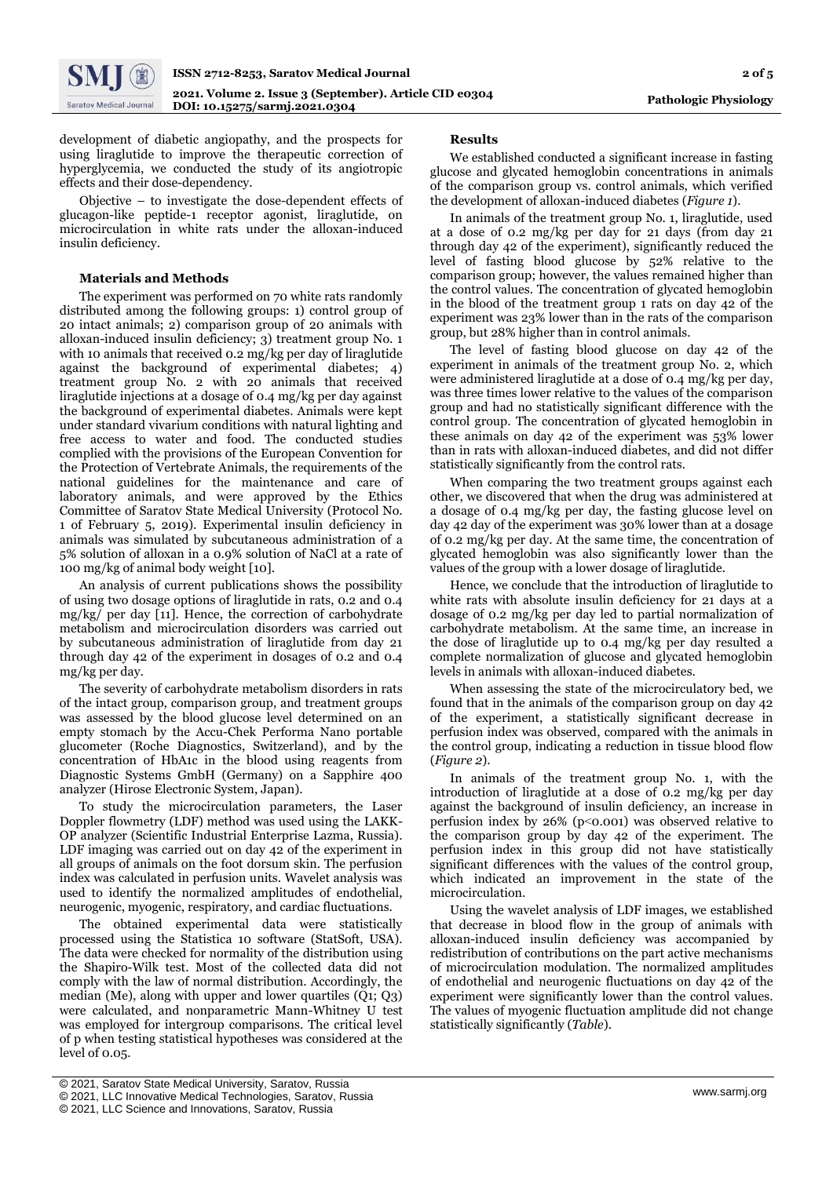

development of diabetic angiopathy, and the prospects for using liraglutide to improve the therapeutic correction of hyperglycemia, we conducted the study of its angiotropic effects and their dose-dependency.

Objective – to investigate the dose-dependent effects of glucagon-like peptide-1 receptor agonist, liraglutide, on microcirculation in white rats under the alloxan-induced insulin deficiency.

### **Materials and Methods**

The experiment was performed on 70 white rats randomly distributed among the following groups: 1) control group of 20 intact animals; 2) comparison group of 20 animals with alloxan-induced insulin deficiency; 3) treatment group No. 1 with 10 animals that received 0.2 mg/kg per day of liraglutide against the background of experimental diabetes; 4) treatment group No. 2 with 20 animals that received liraglutide injections at a dosage of 0.4 mg/kg per day against the background of experimental diabetes. Animals were kept under standard vivarium conditions with natural lighting and free access to water and food. The conducted studies complied with the provisions of the European Convention for the Protection of Vertebrate Animals, the requirements of the national guidelines for the maintenance and care of laboratory animals, and were approved by the Ethics Committee of Saratov State Medical University (Protocol No. 1 of February 5, 2019). Experimental insulin deficiency in animals was simulated by subcutaneous administration of a 5% solution of alloxan in a 0.9% solution of NaCl at a rate of 100 mg/kg of animal body weight [10].

An analysis of current publications shows the possibility of using two dosage options of liraglutide in rats, 0.2 and 0.4 mg/kg/ per day [11]. Hence, the correction of carbohydrate metabolism and microcirculation disorders was carried out by subcutaneous administration of liraglutide from day 21 through day 42 of the experiment in dosages of 0.2 and 0.4 mg/kg per day.

The severity of carbohydrate metabolism disorders in rats of the intact group, comparison group, and treatment groups was assessed by the blood glucose level determined on an empty stomach by the Accu-Chek Performa Nano portable glucometer (Roche Diagnostics, Switzerland), and by the concentration of HbA1c in the blood using reagents from Diagnostic Systems GmbH (Germany) on a Sapphire 400 analyzer (Hirose Electronic System, Japan).

To study the microcirculation parameters, the Laser Doppler flowmetry (LDF) method was used using the LAKK-OP analyzer (Scientific Industrial Enterprise Lazma, Russia). LDF imaging was carried out on day 42 of the experiment in all groups of animals on the foot dorsum skin. The perfusion index was calculated in perfusion units. Wavelet analysis was used to identify the normalized amplitudes of endothelial, neurogenic, myogenic, respiratory, and cardiac fluctuations.

The obtained experimental data were statistically processed using the Statistica 10 software (StatSoft, USA). The data were checked for normality of the distribution using the Shapiro-Wilk test. Most of the collected data did not comply with the law of normal distribution. Accordingly, the median (Me), along with upper and lower quartiles (Q1; Q3) were calculated, and nonparametric Mann-Whitney U test was employed for intergroup comparisons. The critical level of p when testing statistical hypotheses was considered at the level of 0.05.

#### **Results**

We established conducted a significant increase in fasting glucose and glycated hemoglobin concentrations in animals of the comparison group vs. control animals, which verified the development of alloxan-induced diabetes (*Figure 1*).

In animals of the treatment group No. 1, liraglutide, used at a dose of 0.2 mg/kg per day for 21 days (from day 21 through day 42 of the experiment), significantly reduced the level of fasting blood glucose by 52% relative to the comparison group; however, the values remained higher than the control values. The concentration of glycated hemoglobin in the blood of the treatment group 1 rats on day 42 of the experiment was 23% lower than in the rats of the comparison group, but 28% higher than in control animals.

The level of fasting blood glucose on day 42 of the experiment in animals of the treatment group No. 2, which were administered liraglutide at a dose of 0.4 mg/kg per day, was three times lower relative to the values of the comparison group and had no statistically significant difference with the control group. The concentration of glycated hemoglobin in these animals on day 42 of the experiment was 53% lower than in rats with alloxan-induced diabetes, and did not differ statistically significantly from the control rats.

When comparing the two treatment groups against each other, we discovered that when the drug was administered at a dosage of 0.4 mg/kg per day, the fasting glucose level on day 42 day of the experiment was 30% lower than at a dosage of 0.2 mg/kg per day. At the same time, the concentration of glycated hemoglobin was also significantly lower than the values of the group with a lower dosage of liraglutide.

Hence, we conclude that the introduction of liraglutide to white rats with absolute insulin deficiency for 21 days at a dosage of 0.2 mg/kg per day led to partial normalization of carbohydrate metabolism. At the same time, an increase in the dose of liraglutide up to 0.4 mg/kg per day resulted a complete normalization of glucose and glycated hemoglobin levels in animals with alloxan-induced diabetes.

When assessing the state of the microcirculatory bed, we found that in the animals of the comparison group on day 42 of the experiment, a statistically significant decrease in perfusion index was observed, compared with the animals in the control group, indicating a reduction in tissue blood flow (*Figure 2*).

In animals of the treatment group No. 1, with the introduction of liraglutide at a dose of 0.2 mg/kg per day against the background of insulin deficiency, an increase in perfusion index by 26% (p˂0.001) was observed relative to the comparison group by day 42 of the experiment. The perfusion index in this group did not have statistically significant differences with the values of the control group, which indicated an improvement in the state of the microcirculation.

Using the wavelet analysis of LDF images, we established that decrease in blood flow in the group of animals with alloxan-induced insulin deficiency was accompanied by redistribution of contributions on the part active mechanisms of microcirculation modulation. The normalized amplitudes of endothelial and neurogenic fluctuations on day 42 of the experiment were significantly lower than the control values. The values of myogenic fluctuation amplitude did not change statistically significantly (*Table*).

<sup>[</sup> © 2021, Saratov State Medical University, Saratov, Russia

<sup>©</sup> 2021, LLC Innovative Medical Technologies, Saratov, Russia

<sup>©</sup> 2021, LLC Science and Innovations, Saratov, Russia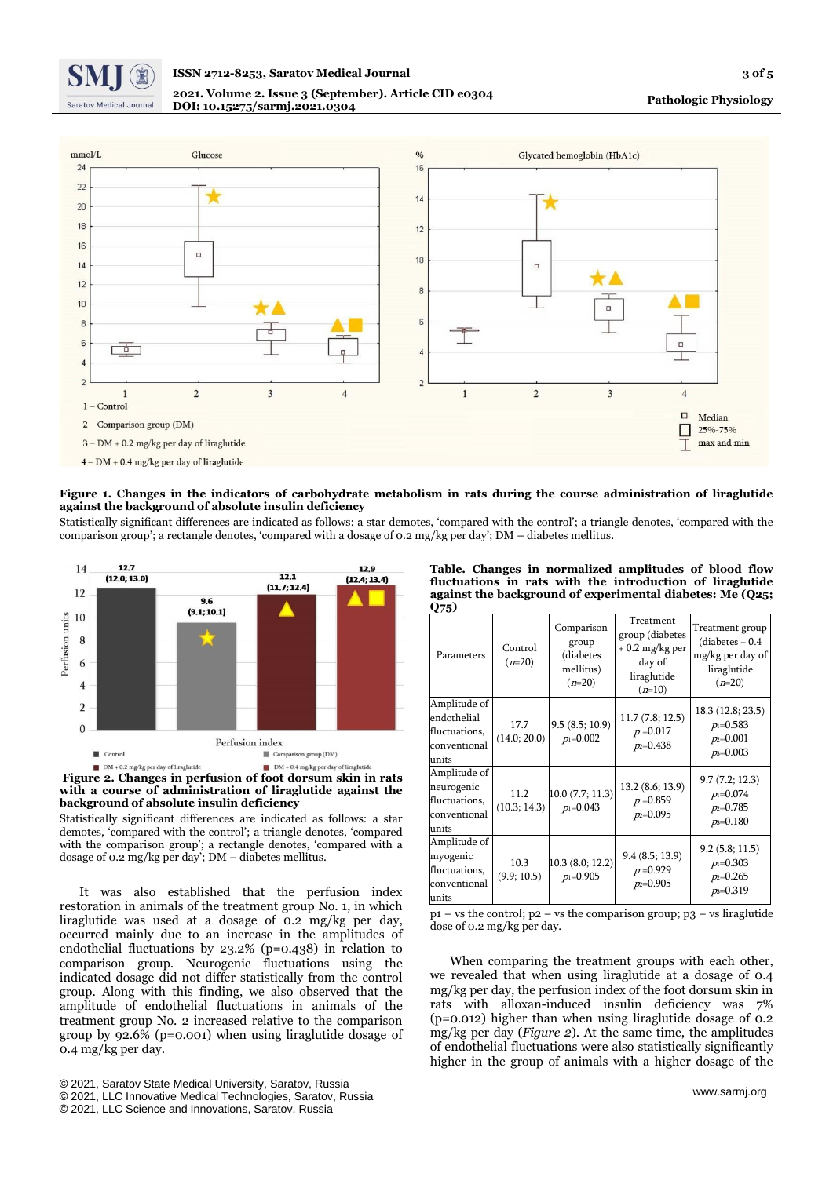

### **ISSN 2712-8253, Saratov Medical Journal 3 of 5 2021. Volume 2. Issue 3 (September). Article CID e0304 DOI: 10.15275/sarmj.2021.0304**



**Figure 1. Changes in the indicators of carbohydrate metabolism in rats during the course administration of liraglutide against the background of absolute insulin deficiency**

Statistically significant differences are indicated as follows: a star demotes, 'compared with the control'; a triangle denotes, 'compared with the comparison group'; a rectangle denotes, 'compared with a dosage of 0.2 mg/kg per day'; DM – diabetes mellitus.





Statistically significant differences are indicated as follows: a star demotes, 'compared with the control'; a triangle denotes, 'compared with the comparison group'; a rectangle denotes, 'compared with a dosage of 0.2 mg/kg per day'; DM – diabetes mellitus.

It was also established that the perfusion index restoration in animals of the treatment group No. 1, in which liraglutide was used at a dosage of 0.2 mg/kg per day, occurred mainly due to an increase in the amplitudes of endothelial fluctuations by 23.2% (p=0.438) in relation to comparison group. Neurogenic fluctuations using the indicated dosage did not differ statistically from the control group. Along with this finding, we also observed that the amplitude of endothelial fluctuations in animals of the treatment group No. 2 increased relative to the comparison group by 92.6% (p=0.001) when using liraglutide dosage of 0.4 mg/kg per day.

| Table. Changes in normalized amplitudes of blood flow     |  |  |  |  |  |
|-----------------------------------------------------------|--|--|--|--|--|
| fluctuations in rats with the introduction of liraglutide |  |  |  |  |  |
| against the background of experimental diabetes: Me (025; |  |  |  |  |  |
| Q75)                                                      |  |  |  |  |  |

| Parameters                                                            | Control<br>$(n=20)$  | Comparison<br>group<br>(diabetes<br>mellitus)<br>$(n=20)$ | Treatment<br>group (diabetes<br>$+0.2$ mg/kg per<br>day of<br>liraglutide<br>$(n=10)$ | Treatment group<br>$(diabetes + 0.4)$<br>mg/kg per day of<br>liraglutide<br>$(n=20)$ |
|-----------------------------------------------------------------------|----------------------|-----------------------------------------------------------|---------------------------------------------------------------------------------------|--------------------------------------------------------------------------------------|
| Amplitude of<br>endothelial<br>fluctuations,<br>conventional<br>units | 17.7<br>(14.0; 20.0) | 9.5(8.5; 10.9)<br>$p_1 = 0.002$                           | 11.7(7.8; 12.5)<br>$p_1 = 0.017$<br>$p_2=0.438$                                       | 18.3 (12.8; 23.5)<br>$p_1 = 0.583$<br>$p_2=0.001$<br>$p_3 = 0.003$                   |
| Amplitude of<br>neurogenic<br>fluctuations,<br>conventional<br>units  | 11.2<br>(10.3; 14.3) | 10.0 (7.7; 11.3)<br>$p_1 = 0.043$                         | 13.2 (8.6; 13.9)<br>$p_1 = 0.859$<br>$p_2=0.095$                                      | 9.7(7.2; 12.3)<br>$p_1 = 0.074$<br>$p_2=0.785$<br>$p_3 = 0.180$                      |
| Amplitude of<br>myogenic<br>fluctuations,<br>conventional<br>units    | 10.3<br>(9.9; 10.5)  | 10.3 (8.0; 12.2)<br>$p_1 = 0.905$                         | 9.4(8.5; 13.9)<br>$p_1 = 0.929$<br>$p_2=0.905$                                        | 9.2(5.8; 11.5)<br>$p_1 = 0.303$<br>$p_2=0.265$<br>$p_3 = 0.319$                      |
|                                                                       |                      |                                                           |                                                                                       |                                                                                      |

 $p_1$  – vs the control;  $p_2$  – vs the comparison group;  $p_3$  – vs liraglutide dose of 0.2 mg/kg per day.

When comparing the treatment groups with each other, we revealed that when using liraglutide at a dosage of 0.4 mg/kg per day, the perfusion index of the foot dorsum skin in rats with alloxan-induced insulin deficiency was 7% (p=0.012) higher than when using liraglutide dosage of 0.2 mg/kg per day (*Figure 2*). At the same time, the amplitudes of endothelial fluctuations were also statistically significantly higher in the group of animals with a higher dosage of the

<sup>[</sup> © 2021, Saratov State Medical University, Saratov, Russia

<sup>©</sup> 2021, LLC Innovative Medical Technologies, Saratov, Russia

<sup>©</sup> 2021, LLC Science and Innovations, Saratov, Russia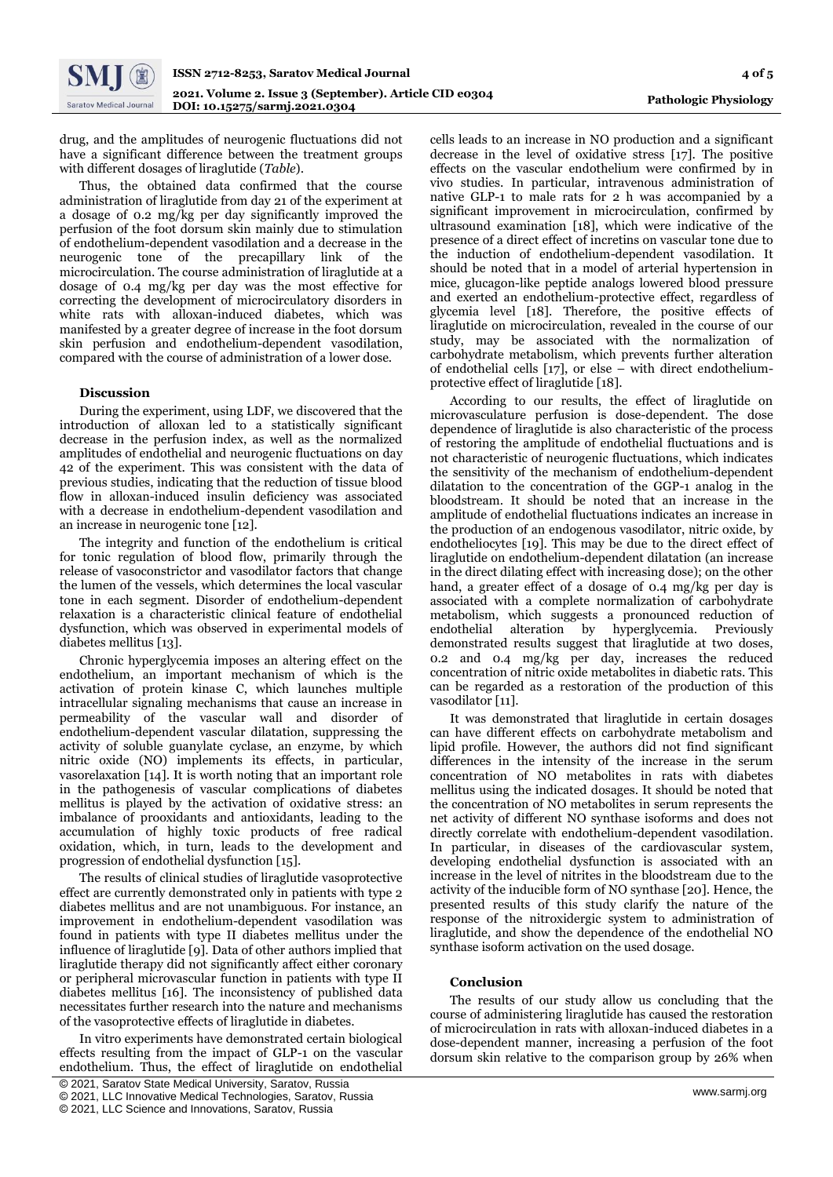drug, and the amplitudes of neurogenic fluctuations did not have a significant difference between the treatment groups with different dosages of liraglutide (*Table*).

Thus, the obtained data confirmed that the course administration of liraglutide from day 21 of the experiment at a dosage of 0.2 mg/kg per day significantly improved the perfusion of the foot dorsum skin mainly due to stimulation of endothelium-dependent vasodilation and a decrease in the neurogenic tone of the precapillary link of the microcirculation. The course administration of liraglutide at a dosage of 0.4 mg/kg per day was the most effective for correcting the development of microcirculatory disorders in white rats with alloxan-induced diabetes, which was manifested by a greater degree of increase in the foot dorsum skin perfusion and endothelium-dependent vasodilation, compared with the course of administration of a lower dose.

#### **Discussion**

During the experiment, using LDF, we discovered that the introduction of alloxan led to a statistically significant decrease in the perfusion index, as well as the normalized amplitudes of endothelial and neurogenic fluctuations on day 42 of the experiment. This was consistent with the data of previous studies, indicating that the reduction of tissue blood flow in alloxan-induced insulin deficiency was associated with a decrease in endothelium-dependent vasodilation and an increase in neurogenic tone [12].

The integrity and function of the endothelium is critical for tonic regulation of blood flow, primarily through the release of vasoconstrictor and vasodilator factors that change the lumen of the vessels, which determines the local vascular tone in each segment. Disorder of endothelium-dependent relaxation is a characteristic clinical feature of endothelial dysfunction, which was observed in experimental models of diabetes mellitus [13].

Chronic hyperglycemia imposes an altering effect on the endothelium, an important mechanism of which is the activation of protein kinase C, which launches multiple intracellular signaling mechanisms that cause an increase in permeability of the vascular wall and disorder of endothelium-dependent vascular dilatation, suppressing the activity of soluble guanylate cyclase, an enzyme, by which nitric oxide (NO) implements its effects, in particular, vasorelaxation [14]. It is worth noting that an important role in the pathogenesis of vascular complications of diabetes mellitus is played by the activation of oxidative stress: an imbalance of prooxidants and antioxidants, leading to the accumulation of highly toxic products of free radical oxidation, which, in turn, leads to the development and progression of endothelial dysfunction [15].

The results of clinical studies of liraglutide vasoprotective effect are currently demonstrated only in patients with type 2 diabetes mellitus and are not unambiguous. For instance, an improvement in endothelium-dependent vasodilation was found in patients with type II diabetes mellitus under the influence of liraglutide [9]. Data of other authors implied that liraglutide therapy did not significantly affect either coronary or peripheral microvascular function in patients with type II diabetes mellitus [16]. The inconsistency of published data necessitates further research into the nature and mechanisms of the vasoprotective effects of liraglutide in diabetes.

In vitro experiments have demonstrated certain biological effects resulting from the impact of GLP-1 on the vascular endothelium. Thus, the effect of liraglutide on endothelial

cells leads to an increase in NO production and a significant decrease in the level of oxidative stress [17]. The positive effects on the vascular endothelium were confirmed by in vivo studies. In particular, intravenous administration of native GLP-1 to male rats for 2 h was accompanied by a significant improvement in microcirculation, confirmed by ultrasound examination [18], which were indicative of the presence of a direct effect of incretins on vascular tone due to the induction of endothelium-dependent vasodilation. It should be noted that in a model of arterial hypertension in mice, glucagon-like peptide analogs lowered blood pressure and exerted an endothelium-protective effect, regardless of glycemia level [18]. Therefore, the positive effects of liraglutide on microcirculation, revealed in the course of our study, may be associated with the normalization of carbohydrate metabolism, which prevents further alteration of endothelial cells [17], or else – with direct endotheliumprotective effect of liraglutide [18].

According to our results, the effect of liraglutide on microvasculature perfusion is dose-dependent. The dose dependence of liraglutide is also characteristic of the process of restoring the amplitude of endothelial fluctuations and is not characteristic of neurogenic fluctuations, which indicates the sensitivity of the mechanism of endothelium-dependent dilatation to the concentration of the GGP-1 analog in the bloodstream. It should be noted that an increase in the amplitude of endothelial fluctuations indicates an increase in the production of an endogenous vasodilator, nitric oxide, by endotheliocytes [19]. This may be due to the direct effect of liraglutide on endothelium-dependent dilatation (an increase in the direct dilating effect with increasing dose); on the other hand, a greater effect of a dosage of 0.4 mg/kg per day is associated with a complete normalization of carbohydrate metabolism, which suggests a pronounced reduction of endothelial alteration by hyperglycemia. Previously demonstrated results suggest that liraglutide at two doses, 0.2 and 0.4 mg/kg per day, increases the reduced concentration of nitric oxide metabolites in diabetic rats. This can be regarded as a restoration of the production of this vasodilator [11].

It was demonstrated that liraglutide in certain dosages can have different effects on carbohydrate metabolism and lipid profile. However, the authors did not find significant differences in the intensity of the increase in the serum concentration of NO metabolites in rats with diabetes mellitus using the indicated dosages. It should be noted that the concentration of NO metabolites in serum represents the net activity of different NO synthase isoforms and does not directly correlate with endothelium-dependent vasodilation. In particular, in diseases of the cardiovascular system, developing endothelial dysfunction is associated with an increase in the level of nitrites in the bloodstream due to the activity of the inducible form of NO synthase [20]. Hence, the presented results of this study clarify the nature of the response of the nitroxidergic system to administration of liraglutide, and show the dependence of the endothelial NO synthase isoform activation on the used dosage.

#### **Conclusion**

The results of our study allow us concluding that the course of administering liraglutide has caused the restoration of microcirculation in rats with alloxan-induced diabetes in a dose-dependent manner, increasing a perfusion of the foot dorsum skin relative to the comparison group by 26% when

<sup>[</sup> © 2021, Saratov State Medical University, Saratov, Russia

<sup>©</sup> 2021, LLC Innovative Medical Technologies, Saratov, Russia

<sup>©</sup> 2021, LLC Science and Innovations, Saratov, Russia